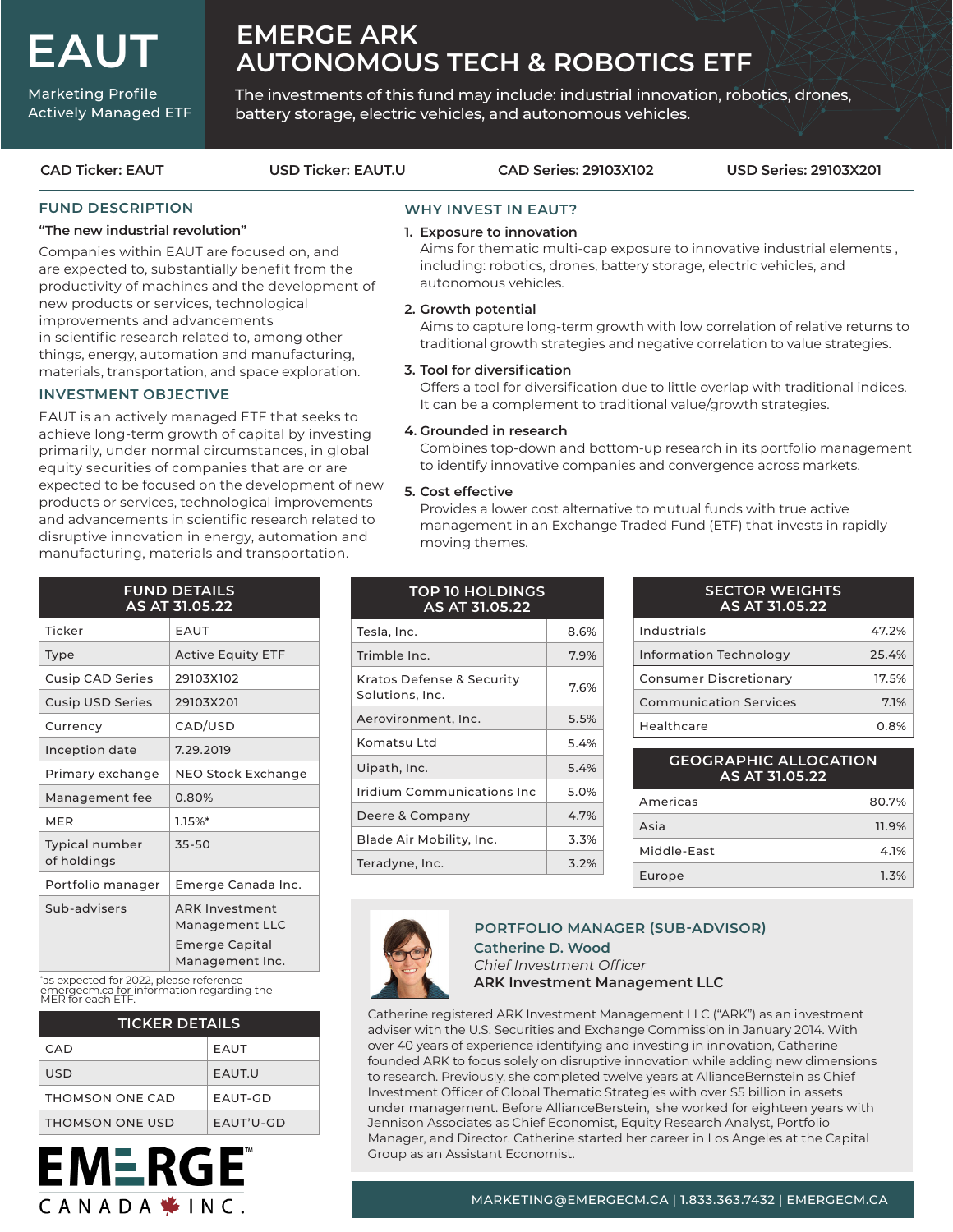**EAUT**

Marketing Profile Actively Managed ETF

# **EMERGE ARK AUTONOMOUS TECH & ROBOTICS ETF**

The investments of this fund may include: industrial innovation, robotics, drones, battery storage, electric vehicles, and autonomous vehicles.

**CAD Ticker: EAUT USD Ticker: EAUT.U CAD Series: 29103X102 USD Series: 29103X201**

# **FUND DESCRIPTION**

### **"The new industrial revolution"**

Companies within EAUT are focused on, and are expected to, substantially benefit from the productivity of machines and the development of new products or services, technological improvements and advancements in scientific research related to, among other things, energy, automation and manufacturing, materials, transportation, and space exploration.

# **INVESTMENT OBJECTIVE**

EAUT is an actively managed ETF that seeks to achieve long-term growth of capital by investing primarily, under normal circumstances, in global equity securities of companies that are or are expected to be focused on the development of new products or services, technological improvements and advancements in scientific research related to disruptive innovation in energy, automation and manufacturing, materials and transportation.

| <b>FUND DETAILS</b><br>AS AT 31.05.22 |                                                                              |  |  |  |
|---------------------------------------|------------------------------------------------------------------------------|--|--|--|
| Ticker                                | EAUT                                                                         |  |  |  |
| Type                                  | <b>Active Equity ETF</b>                                                     |  |  |  |
| <b>Cusip CAD Series</b>               | 29103X102                                                                    |  |  |  |
| <b>Cusip USD Series</b>               | 29103X201                                                                    |  |  |  |
| Currency                              | CAD/USD                                                                      |  |  |  |
| Inception date                        | 7.29.2019                                                                    |  |  |  |
| Primary exchange                      | <b>NEO Stock Exchange</b>                                                    |  |  |  |
| Management fee                        | 0.80%                                                                        |  |  |  |
| <b>MER</b>                            | 1.15%                                                                        |  |  |  |
| Typical number<br>of holdings         | 35-50                                                                        |  |  |  |
| Portfolio manager                     | Emerge Canada Inc.                                                           |  |  |  |
| Sub-advisers                          | <b>ARK Investment</b><br>Management LLC<br>Emerge Capital<br>Management Inc. |  |  |  |

\* as expected for 2022, please reference emergecm.ca for information regarding the MER for each ETF.

**EMERGE** 

CANADA \* INC.

| <b>TICKER DETAILS</b> |              |  |  |  |
|-----------------------|--------------|--|--|--|
| CAD.                  | <b>EAUT</b>  |  |  |  |
| USD                   | <b>FAUTU</b> |  |  |  |
| THOMSON ONE CAD       | EAUT-GD      |  |  |  |
| THOMSON ONE USD       | $FALIT'U-GD$ |  |  |  |

# **WHY INVEST IN EAUT? 1. Exposure to innovation**

Aims for thematic multi-cap exposure to innovative industrial elements , including: robotics, drones, battery storage, electric vehicles, and autonomous vehicles.

### **2. Growth potential**

 Aims to capture long-term growth with low correlation of relative returns to traditional growth strategies and negative correlation to value strategies.

#### **3. Tool for diversification**

 Offers a tool for diversification due to little overlap with traditional indices. It can be a complement to traditional value/growth strategies.

#### **4. Grounded in research**

 Combines top-down and bottom-up research in its portfolio management to identify innovative companies and convergence across markets.

### **5. Cost effective**

 Provides a lower cost alternative to mutual funds with true active management in an Exchange Traded Fund (ETF) that invests in rapidly moving themes.

# **TOP 10 HOLDINGS AS AT 31.05.22**

| Tesla, Inc.                                  | 8.6% |  |  |
|----------------------------------------------|------|--|--|
| Trimble Inc.                                 | 7.9% |  |  |
| Kratos Defense & Security<br>Solutions, Inc. | 7.6% |  |  |
| Aerovironment, Inc.                          | 5.5% |  |  |
| Komatsu I td                                 | 5.4% |  |  |
| Uipath, Inc.                                 | 5.4% |  |  |
| <u>Iridium Communications Inc</u>            | 5.0% |  |  |
| Deere & Company                              | 4.7% |  |  |
| Blade Air Mobility, Inc.                     | 3.3% |  |  |
| Teradyne, Inc.                               | 3.2% |  |  |

| <b>SECTOR WEIGHTS</b><br>AS AT 31.05.22 |         |  |  |  |
|-----------------------------------------|---------|--|--|--|
| Industrials                             | 47.2%   |  |  |  |
| <b>Information Technology</b>           | 25.4%   |  |  |  |
| Consumer Discretionary                  | 17.5%   |  |  |  |
| <b>Communication Services</b>           | 7.1%    |  |  |  |
| Healthcare                              | $0.8\%$ |  |  |  |

| <b>GEOGRAPHIC ALLOCATION</b><br>AS AT 31.05.22 |       |  |  |  |
|------------------------------------------------|-------|--|--|--|
| Americas                                       | 80.7% |  |  |  |
| Asia                                           | 11.9% |  |  |  |
| Middle-Fast                                    | 4.1%  |  |  |  |
| Europe                                         | 1.3%  |  |  |  |



# **Catherine D. Wood**  *Chief Investment Officer* **ARK Investment Management LLC PORTFOLIO MANAGER (SUB-ADVISOR)**

Catherine registered ARK Investment Management LLC ("ARK") as an investment adviser with the U.S. Securities and Exchange Commission in January 2014. With over 40 years of experience identifying and investing in innovation, Catherine founded ARK to focus solely on disruptive innovation while adding new dimensions to research. Previously, she completed twelve years at AllianceBernstein as Chief Investment Officer of Global Thematic Strategies with over \$5 billion in assets under management. Before AllianceBerstein, she worked for eighteen years with Jennison Associates as Chief Economist, Equity Research Analyst, Portfolio Manager, and Director. Catherine started her career in Los Angeles at the Capital Group as an Assistant Economist.

# MARKETING@EMERGECM.CA | 1.833.363.7432 | EMERGECM.CA